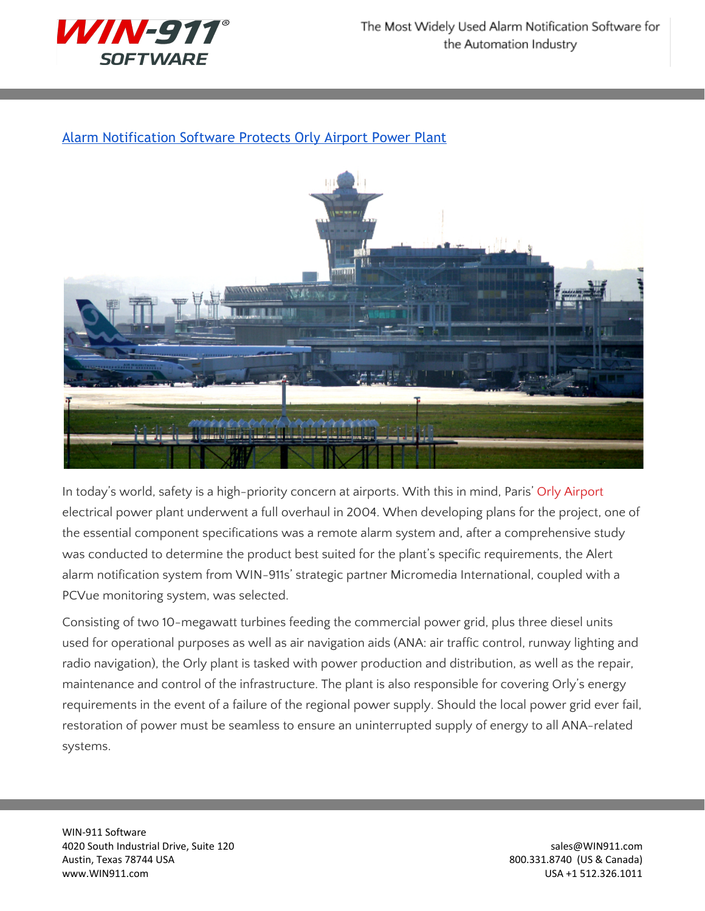

## Alarm [Notification](http://www.win911.com/alarm-notification-software-protects-orly-airport-power-plant/) Software Protects Orly Airport Power Plant



In today's world, safety is a high-priority concern at airports. With this in mind, Paris' Orly [Airport](http://www.airport-orly.com/) electrical power plant underwent a full overhaul in 2004. When developing plans for the project, one of the essential component specifications was a remote alarm system and, after a comprehensive study was conducted to determine the product best suited for the plant's specific requirements, the Alert alarm notification system from WIN-911s' strategic partner Micromedia International, coupled with a PCVue monitoring system, was selected.

Consisting of two 10-megawatt turbines feeding the commercial power grid, plus three diesel units used for operational purposes as well as air navigation aids (ANA: air traffic control, runway lighting and radio navigation), the Orly plant is tasked with power production and distribution, as well as the repair, maintenance and control of the infrastructure. The plant is also responsible for covering Orly's energy requirements in the event of a failure of the regional power supply. Should the local power grid ever fail, restoration of power must be seamless to ensure an uninterrupted supply of energy to all ANA-related systems.

WIN-911 Software 4020 South Industrial Drive, Suite 120 sales extends to the state of the state of the state of the state of the state of the state of the state of the state of the state of the state of the state of the state of the state Austin, Texas 78744 USA 800.331.8740 (US & Canada) www.WIN911.com USA +1 512.326.1011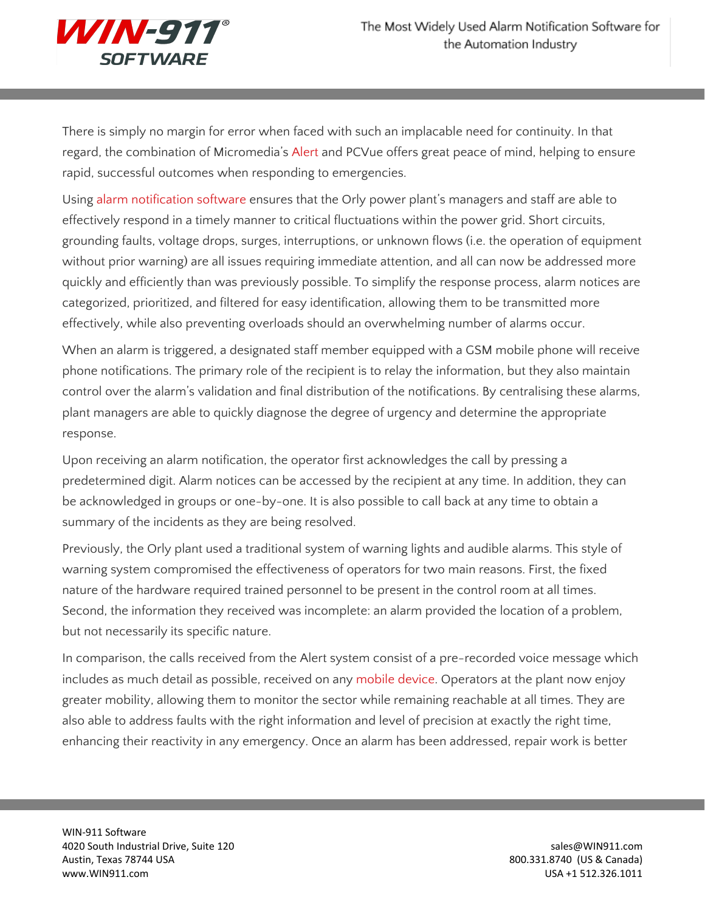

There is simply no margin for error when faced with such an implacable need for continuity. In that regard, the combination of Micromedia's [Alert](http://www.wwsinternational.com.au/Micromedia/products/alert.html) and PCVue offers great peace of mind, helping to ensure rapid, successful outcomes when responding to emergencies.

Using alarm [notification](http://www.win911.com/features-of-win-911-alarm-notification-software/) software ensures that the Orly power plant's managers and staff are able to effectively respond in a timely manner to critical fluctuations within the power grid. Short circuits, grounding faults, voltage drops, surges, interruptions, or unknown flows (i.e. the operation of equipment without prior warning) are all issues requiring immediate attention, and all can now be addressed more quickly and efficiently than was previously possible. To simplify the response process, alarm notices are categorized, prioritized, and filtered for easy identification, allowing them to be transmitted more effectively, while also preventing overloads should an overwhelming number of alarms occur.

When an alarm is triggered, a designated staff member equipped with a GSM mobile phone will receive phone notifications. The primary role of the recipient is to relay the information, but they also maintain control over the alarm's validation and final distribution of the notifications. By centralising these alarms, plant managers are able to quickly diagnose the degree of urgency and determine the appropriate response.

Upon receiving an alarm notification, the operator first acknowledges the call by pressing a predetermined digit. Alarm notices can be accessed by the recipient at any time. In addition, they can be acknowledged in groups or one-by-one. It is also possible to call back at any time to obtain a summary of the incidents as they are being resolved.

Previously, the Orly plant used a traditional system of warning lights and audible alarms. This style of warning system compromised the effectiveness of operators for two main reasons. First, the fixed nature of the hardware required trained personnel to be present in the control room at all times. Second, the information they received was incomplete: an alarm provided the location of a problem, but not necessarily its specific nature.

In comparison, the calls received from the Alert system consist of a pre-recorded voice message which includes as much detail as possible, received on any [mobile](http://www.win911.com/features-of-mobile-911/) device. Operators at the plant now enjoy greater mobility, allowing them to monitor the sector while remaining reachable at all times. They are also able to address faults with the right information and level of precision at exactly the right time, enhancing their reactivity in any emergency. Once an alarm has been addressed, repair work is better

WIN-911 Software 4020 South Industrial Drive, Suite 120 sales extends to the state of the state of the state of the state of the state of the state of the state of the state of the state of the state of the state of the state of the state Austin, Texas 78744 USA 800.331.8740 (US & Canada) www.WIN911.com USA +1 512.326.1011